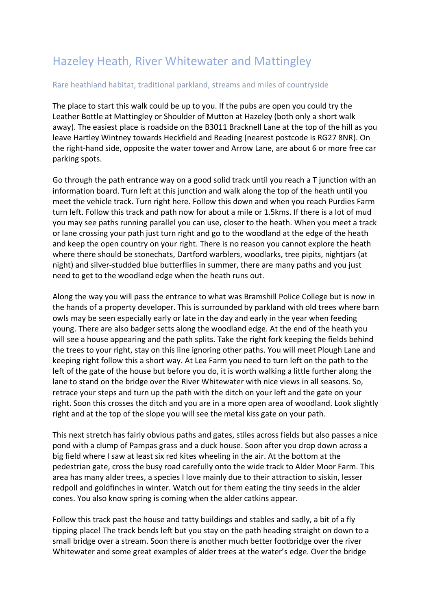## Hazeley Heath, River Whitewater and Mattingley

## Rare heathland habitat, traditional parkland, streams and miles of countryside

The place to start this walk could be up to you. If the pubs are open you could try the Leather Bottle at Mattingley or Shoulder of Mutton at Hazeley (both only a short walk away). The easiest place is roadside on the B3011 Bracknell Lane at the top of the hill as you leave Hartley Wintney towards Heckfield and Reading (nearest postcode is RG27 8NR). On the right-hand side, opposite the water tower and Arrow Lane, are about 6 or more free car parking spots.

Go through the path entrance way on a good solid track until you reach a T junction with an information board. Turn left at this junction and walk along the top of the heath until you meet the vehicle track. Turn right here. Follow this down and when you reach Purdies Farm turn left. Follow this track and path now for about a mile or 1.5kms. If there is a lot of mud you may see paths running parallel you can use, closer to the heath. When you meet a track or lane crossing your path just turn right and go to the woodland at the edge of the heath and keep the open country on your right. There is no reason you cannot explore the heath where there should be stonechats, Dartford warblers, woodlarks, tree pipits, nightjars (at night) and silver-studded blue butterflies in summer, there are many paths and you just need to get to the woodland edge when the heath runs out.

Along the way you will pass the entrance to what was Bramshill Police College but is now in the hands of a property developer. This is surrounded by parkland with old trees where barn owls may be seen especially early or late in the day and early in the year when feeding young. There are also badger setts along the woodland edge. At the end of the heath you will see a house appearing and the path splits. Take the right fork keeping the fields behind the trees to your right, stay on this line ignoring other paths. You will meet Plough Lane and keeping right follow this a short way. At Lea Farm you need to turn left on the path to the left of the gate of the house but before you do, it is worth walking a little further along the lane to stand on the bridge over the River Whitewater with nice views in all seasons. So, retrace your steps and turn up the path with the ditch on your left and the gate on your right. Soon this crosses the ditch and you are in a more open area of woodland. Look slightly right and at the top of the slope you will see the metal kiss gate on your path.

This next stretch has fairly obvious paths and gates, stiles across fields but also passes a nice pond with a clump of Pampas grass and a duck house. Soon after you drop down across a big field where I saw at least six red kites wheeling in the air. At the bottom at the pedestrian gate, cross the busy road carefully onto the wide track to Alder Moor Farm. This area has many alder trees, a species I love mainly due to their attraction to siskin, lesser redpoll and goldfinches in winter. Watch out for them eating the tiny seeds in the alder cones. You also know spring is coming when the alder catkins appear.

Follow this track past the house and tatty buildings and stables and sadly, a bit of a fly tipping place! The track bends left but you stay on the path heading straight on down to a small bridge over a stream. Soon there is another much better footbridge over the river Whitewater and some great examples of alder trees at the water's edge. Over the bridge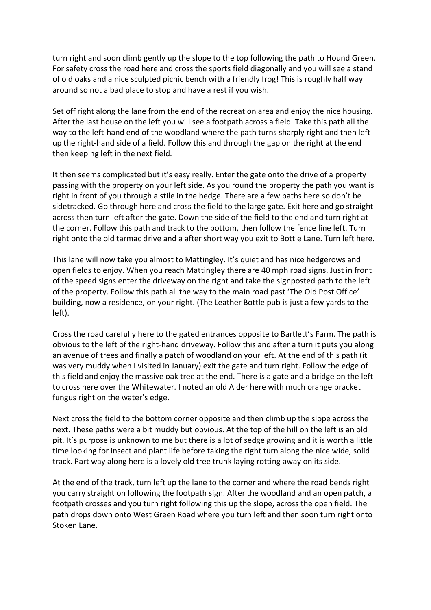turn right and soon climb gently up the slope to the top following the path to Hound Green. For safety cross the road here and cross the sports field diagonally and you will see a stand of old oaks and a nice sculpted picnic bench with a friendly frog! This is roughly half way around so not a bad place to stop and have a rest if you wish.

Set off right along the lane from the end of the recreation area and enjoy the nice housing. After the last house on the left you will see a footpath across a field. Take this path all the way to the left-hand end of the woodland where the path turns sharply right and then left up the right-hand side of a field. Follow this and through the gap on the right at the end then keeping left in the next field.

It then seems complicated but it's easy really. Enter the gate onto the drive of a property passing with the property on your left side. As you round the property the path you want is right in front of you through a stile in the hedge. There are a few paths here so don't be sidetracked. Go through here and cross the field to the large gate. Exit here and go straight across then turn left after the gate. Down the side of the field to the end and turn right at the corner. Follow this path and track to the bottom, then follow the fence line left. Turn right onto the old tarmac drive and a after short way you exit to Bottle Lane. Turn left here.

This lane will now take you almost to Mattingley. It's quiet and has nice hedgerows and open fields to enjoy. When you reach Mattingley there are 40 mph road signs. Just in front of the speed signs enter the driveway on the right and take the signposted path to the left of the property. Follow this path all the way to the main road past 'The Old Post Office' building, now a residence, on your right. (The Leather Bottle pub is just a few yards to the left).

Cross the road carefully here to the gated entrances opposite to Bartlett's Farm. The path is obvious to the left of the right-hand driveway. Follow this and after a turn it puts you along an avenue of trees and finally a patch of woodland on your left. At the end of this path (it was very muddy when I visited in January) exit the gate and turn right. Follow the edge of this field and enjoy the massive oak tree at the end. There is a gate and a bridge on the left to cross here over the Whitewater. I noted an old Alder here with much orange bracket fungus right on the water's edge.

Next cross the field to the bottom corner opposite and then climb up the slope across the next. These paths were a bit muddy but obvious. At the top of the hill on the left is an old pit. It's purpose is unknown to me but there is a lot of sedge growing and it is worth a little time looking for insect and plant life before taking the right turn along the nice wide, solid track. Part way along here is a lovely old tree trunk laying rotting away on its side.

At the end of the track, turn left up the lane to the corner and where the road bends right you carry straight on following the footpath sign. After the woodland and an open patch, a footpath crosses and you turn right following this up the slope, across the open field. The path drops down onto West Green Road where you turn left and then soon turn right onto Stoken Lane.